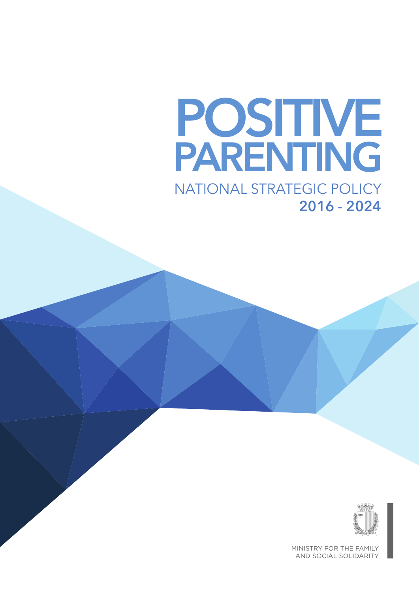## **POSITIVE PARENTING** NATIONAL STRATEGIC POLICY



MINISTRY FOR THE FAMILY AND SOCIAL SOLIDARITY

**2016 - 2024**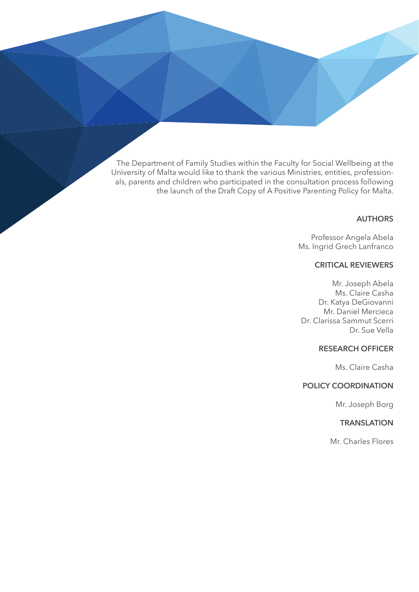The Department of Family Studies within the Faculty for Social Wellbeing at the University of Malta would like to thank the various Ministries, entities, professionals, parents and children who participated in the consultation process following the launch of the Draft Copy of A Positive Parenting Policy for Malta.

#### **AUTHORS**

Professor Angela Abela Ms. Ingrid Grech Lanfranco

#### **CRITICAL REVIEWERS**

Mr. Joseph Abela Ms. Claire Casha Dr. Katya DeGiovanni Mr. Daniel Mercieca Dr. Clarissa Sammut Scerri Dr. Sue Vella

#### **RESEARCH OFFICER**

Ms. Claire Casha

#### **POLICY COORDINATION**

Mr. Joseph Borg

#### **TRANSLATION**

Mr. Charles Flores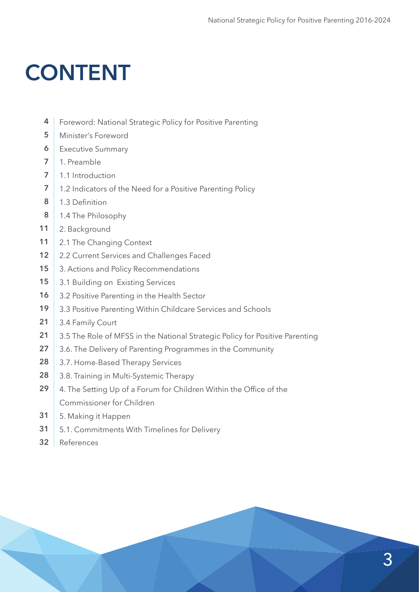## **CONTENT**

- Foreword: National Strategic Policy for Positive Parenting **4**
- Minister's Foreword **5**
- Executive Summary **6**
- 1. Preamble **7**
- 1.1 Introduction **7**
- 1.2 Indicators of the Need for a Positive Parenting Policy **7**
- 1.3 Definition **8**
- 1.4 The Philosophy **8**
- 2. Background **11**
- 2.1 The Changing Context **11**
- 2.2 Current Services and Challenges Faced **12**
- 3. Actions and Policy Recommendations **15**
- 3.1 Building on Existing Services **15**
- 3.2 Positive Parenting in the Health Sector **16**
- 3.3 Positive Parenting Within Childcare Services and Schools **19**
- 3.4 Family Court **21**
- 3.5 The Role of MFSS in the National Strategic Policy for Positive Parenting **21**
- 3.6. The Delivery of Parenting Programmes in the Community **27**
- 3.7. Home-Based Therapy Services **28**
- 3.8. Training in Multi-Systemic Therapy **28**
- 4. The Setting Up of a Forum for Children Within the Office of the Commissioner for Children **29**
- 5. Making it Happen **31**
- 5.1. Commitments With Timelines for Delivery **31**
- References **32**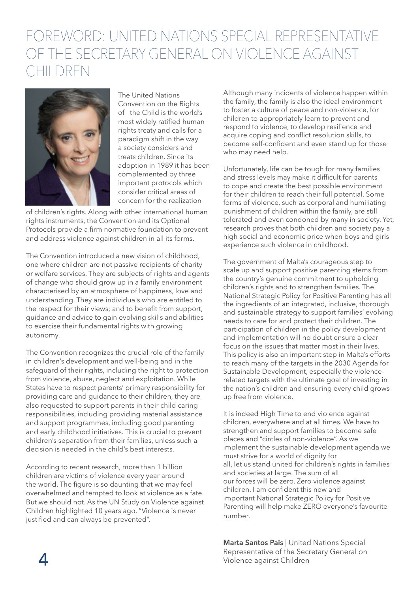### FOREWORD: UNITED NATIONS SPECIAL REPRESENTATIVE OF THE SECRETARY GENERAL ON VIOLENCE AGAINST CHILDREN



The United Nations Convention on the Rights of the Child is the world's most widely ratified human rights treaty and calls for a paradigm shift in the way a society considers and treats children. Since its adoption in 1989 it has been complemented by three important protocols which consider critical areas of concern for the realization

of children's rights. Along with other international human rights instruments, the Convention and its Optional Protocols provide a firm normative foundation to prevent and address violence against children in all its forms.

The Convention introduced a new vision of childhood, one where children are not passive recipients of charity or welfare services. They are subjects of rights and agents of change who should grow up in a family environment characterised by an atmosphere of happiness, love and understanding. They are individuals who are entitled to the respect for their views; and to benefit from support, guidance and advice to gain evolving skills and abilities to exercise their fundamental rights with growing autonomy.

The Convention recognizes the crucial role of the family in children's development and well-being and in the safeguard of their rights, including the right to protection from violence, abuse, neglect and exploitation. While States have to respect parents' primary responsibility for providing care and guidance to their children, they are also requested to support parents in their child caring responsibilities, including providing material assistance and support programmes, including good parenting and early childhood initiatives. This is crucial to prevent children's separation from their families, unless such a decision is needed in the child's best interests.

According to recent research, more than 1 billion children are victims of violence every year around the world. The figure is so daunting that we may feel overwhelmed and tempted to look at violence as a fate. But we should not. As the UN Study on Violence against Children highlighted 10 years ago, "Violence is never justified and can always be prevented".

Although many incidents of violence happen within the family, the family is also the ideal environment to foster a culture of peace and non-violence, for children to appropriately learn to prevent and respond to violence, to develop resilience and acquire coping and conflict resolution skills, to become self-confident and even stand up for those who may need help.

Unfortunately, life can be tough for many families and stress levels may make it difficult for parents to cope and create the best possible environment for their children to reach their full potential. Some forms of violence, such as corporal and humiliating punishment of children within the family, are still tolerated and even condoned by many in society. Yet, research proves that both children and society pay a high social and economic price when boys and girls experience such violence in childhood.

The government of Malta's courageous step to scale up and support positive parenting stems from the country's genuine commitment to upholding children's rights and to strengthen families. The National Strategic Policy for Positive Parenting has all the ingredients of an integrated, inclusive, thorough and sustainable strategy to support families' evolving needs to care for and protect their children. The participation of children in the policy development and implementation will no doubt ensure a clear focus on the issues that matter most in their lives. This policy is also an important step in Malta's efforts to reach many of the targets in the 2030 Agenda for Sustainable Development, especially the violencerelated targets with the ultimate goal of investing in the nation's children and ensuring every child grows up free from violence.

It is indeed High Time to end violence against children, everywhere and at all times. We have to strengthen and support families to become safe places and "circles of non-violence". As we implement the sustainable development agenda we must strive for a world of dignity for all, let us stand united for children's rights in families and societies at large. The sum of all our forces will be zero. Zero violence against children. I am confident this new and important National Strategic Policy for Positive Parenting will help make ZERO everyone's favourite number.

**Marta Santos Pais** | United Nations Special Representative of the Secretary General on Violence against Children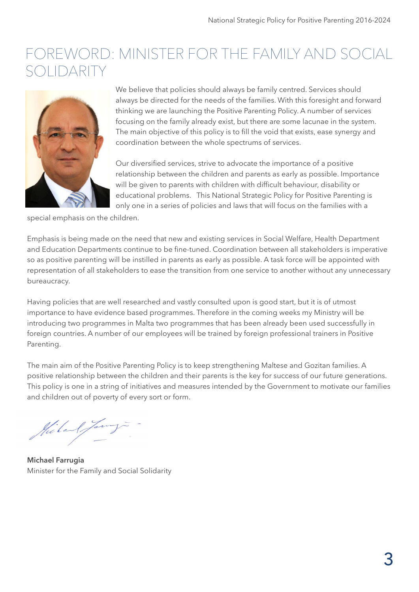### FOREWORD: MINISTER FOR THE FAMILY AND SOCIAL SOLIDARIT



We believe that policies should always be family centred. Services should always be directed for the needs of the families. With this foresight and forward thinking we are launching the Positive Parenting Policy. A number of services focusing on the family already exist, but there are some lacunae in the system. The main objective of this policy is to fill the void that exists, ease synergy and coordination between the whole spectrums of services.

Our diversified services, strive to advocate the importance of a positive relationship between the children and parents as early as possible. Importance will be given to parents with children with difficult behaviour, disability or educational problems. This National Strategic Policy for Positive Parenting is only one in a series of policies and laws that will focus on the families with a

special emphasis on the children.

Emphasis is being made on the need that new and existing services in Social Welfare, Health Department and Education Departments continue to be fine-tuned. Coordination between all stakeholders is imperative so as positive parenting will be instilled in parents as early as possible. A task force will be appointed with representation of all stakeholders to ease the transition from one service to another without any unnecessary bureaucracy.

Having policies that are well researched and vastly consulted upon is good start, but it is of utmost importance to have evidence based programmes. Therefore in the coming weeks my Ministry will be introducing two programmes in Malta two programmes that has been already been used successfully in foreign countries. A number of our employees will be trained by foreign professional trainers in Positive Parenting.

The main aim of the Positive Parenting Policy is to keep strengthening Maltese and Gozitan families. A positive relationship between the children and their parents is the key for success of our future generations. This policy is one in a string of initiatives and measures intended by the Government to motivate our families and children out of poverty of every sort or form.

Miland Jamy

**Michael Farrugia** Minister for the Family and Social Solidarity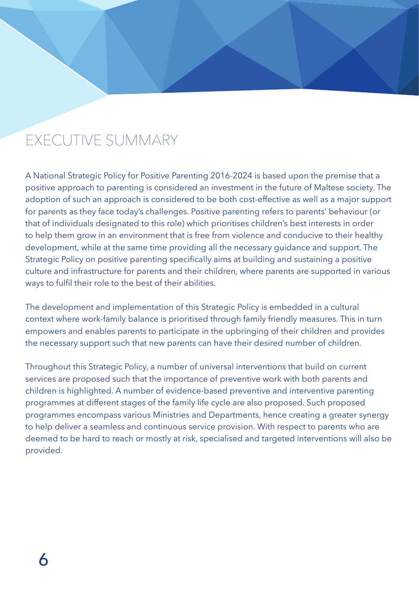### EXECUTIVE SUMMARY

A National Strategic Policy for Positive Parenting 2016-2024 is based upon the premise that a positive approach to parenting is considered an investment in the future of Maltese society. The adoption of such an approach is considered to be both cost-effective as well as a major support for parents as they face today's challenges. Positive parenting refers to parents' behaviour (or that of individuals designated to this role) which prioritises children's best interests in order to help them grow in an environment that is free from violence and conducive to their healthy development, while at the same time providing all the necessary guidance and support. The Strategic Policy on positive parenting specifically aims at building and sustaining a positive culture and infrastructure for parents and their children, where parents are supported in various ways to fulfil their role to the best of their abilities.

The development and implementation of this Strategic Policy is embedded in a cultural context where work-family balance is prioritised through family friendly measures. This in turn empowers and enables parents to participate in the upbringing of their children and provides the necessary support such that new parents can have their desired number of children.

Throughout this Strategic Policy, a number of universal interventions that build on current services are proposed such that the importance of preventive work with both parents and children is highlighted. A number of evidence-based preventive and interventive parenting programmes at different stages of the family life cycle are also proposed. Such proposed programmes encompass various Ministries and Departments, hence creating a greater synergy to help deliver a seamless and continuous service provision. With respect to parents who are deemed to be hard to reach or mostly at risk, specialised and targeted interventions will also be provided.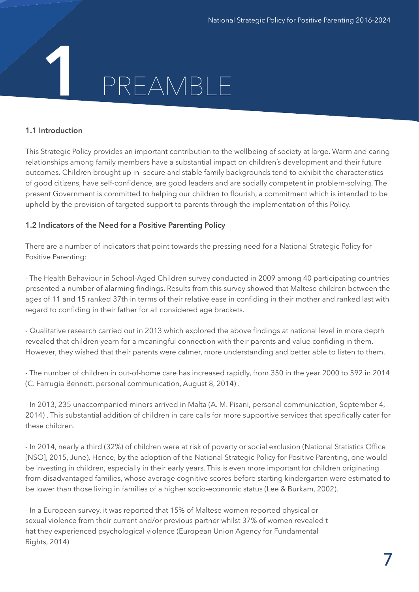# PREAMBLE **1**

#### **1.1 Introduction**

This Strategic Policy provides an important contribution to the wellbeing of society at large. Warm and caring relationships among family members have a substantial impact on children's development and their future outcomes. Children brought up in secure and stable family backgrounds tend to exhibit the characteristics of good citizens, have self-confidence, are good leaders and are socially competent in problem-solving. The present Government is committed to helping our children to flourish, a commitment which is intended to be upheld by the provision of targeted support to parents through the implementation of this Policy.

#### **1.2 Indicators of the Need for a Positive Parenting Policy**

There are a number of indicators that point towards the pressing need for a National Strategic Policy for Positive Parenting:

- The Health Behaviour in School-Aged Children survey conducted in 2009 among 40 participating countries presented a number of alarming findings. Results from this survey showed that Maltese children between the ages of 11 and 15 ranked 37th in terms of their relative ease in confiding in their mother and ranked last with regard to confiding in their father for all considered age brackets.

- Qualitative research carried out in 2013 which explored the above findings at national level in more depth revealed that children yearn for a meaningful connection with their parents and value confiding in them. However, they wished that their parents were calmer, more understanding and better able to listen to them.

- The number of children in out-of-home care has increased rapidly, from 350 in the year 2000 to 592 in 2014 (C. Farrugia Bennett, personal communication, August 8, 2014) .

- In 2013, 235 unaccompanied minors arrived in Malta (A. M. Pisani, personal communication, September 4, 2014) . This substantial addition of children in care calls for more supportive services that specifically cater for these children.

- In 2014, nearly a third (32%) of children were at risk of poverty or social exclusion (National Statistics Office [NSO], 2015, June). Hence, by the adoption of the National Strategic Policy for Positive Parenting, one would be investing in children, especially in their early years. This is even more important for children originating from disadvantaged families, whose average cognitive scores before starting kindergarten were estimated to be lower than those living in families of a higher socio-economic status (Lee & Burkam, 2002).

- In a European survey, it was reported that 15% of Maltese women reported physical or sexual violence from their current and/or previous partner whilst 37% of women revealed t hat they experienced psychological violence (European Union Agency for Fundamental Rights, 2014)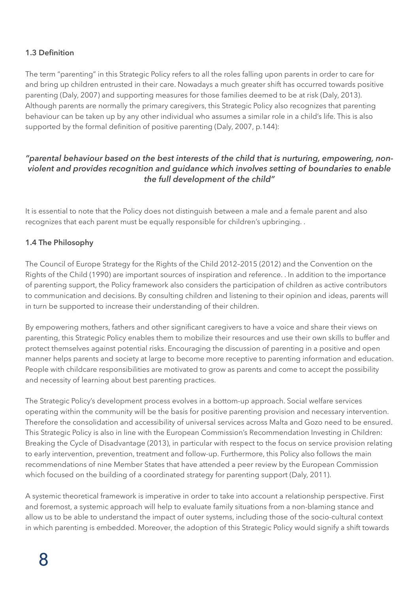#### **1.3 Definition**

The term "parenting" in this Strategic Policy refers to all the roles falling upon parents in order to care for and bring up children entrusted in their care. Nowadays a much greater shift has occurred towards positive parenting (Daly, 2007) and supporting measures for those families deemed to be at risk (Daly, 2013). Although parents are normally the primary caregivers, this Strategic Policy also recognizes that parenting behaviour can be taken up by any other individual who assumes a similar role in a child's life. This is also supported by the formal definition of positive parenting (Daly, 2007, p.144):

#### *"parental behaviour based on the best interests of the child that is nurturing, empowering, nonviolent and provides recognition and guidance which involves setting of boundaries to enable the full development of the child"*

It is essential to note that the Policy does not distinguish between a male and a female parent and also recognizes that each parent must be equally responsible for children's upbringing. .

#### **1.4 The Philosophy**

The Council of Europe Strategy for the Rights of the Child 2012–2015 (2012) and the Convention on the Rights of the Child (1990) are important sources of inspiration and reference. . In addition to the importance of parenting support, the Policy framework also considers the participation of children as active contributors to communication and decisions. By consulting children and listening to their opinion and ideas, parents will in turn be supported to increase their understanding of their children.

By empowering mothers, fathers and other significant caregivers to have a voice and share their views on parenting, this Strategic Policy enables them to mobilize their resources and use their own skills to buffer and protect themselves against potential risks. Encouraging the discussion of parenting in a positive and open manner helps parents and society at large to become more receptive to parenting information and education. People with childcare responsibilities are motivated to grow as parents and come to accept the possibility and necessity of learning about best parenting practices.

The Strategic Policy's development process evolves in a bottom-up approach. Social welfare services operating within the community will be the basis for positive parenting provision and necessary intervention. Therefore the consolidation and accessibility of universal services across Malta and Gozo need to be ensured. This Strategic Policy is also in line with the European Commission's Recommendation Investing in Children: Breaking the Cycle of Disadvantage (2013), in particular with respect to the focus on service provision relating to early intervention, prevention, treatment and follow-up. Furthermore, this Policy also follows the main recommendations of nine Member States that have attended a peer review by the European Commission which focused on the building of a coordinated strategy for parenting support (Daly, 2011).

A systemic theoretical framework is imperative in order to take into account a relationship perspective. First and foremost, a systemic approach will help to evaluate family situations from a non-blaming stance and allow us to be able to understand the impact of outer systems, including those of the socio-cultural context in which parenting is embedded. Moreover, the adoption of this Strategic Policy would signify a shift towards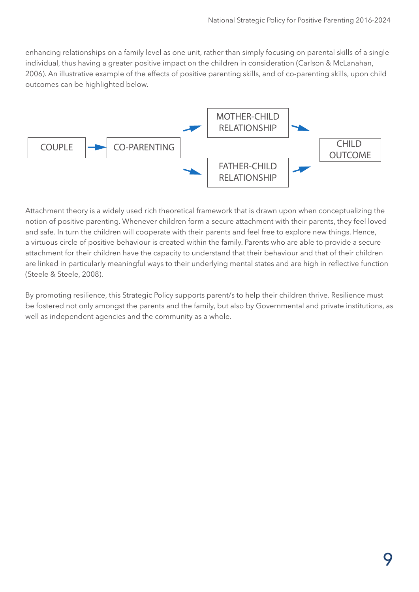enhancing relationships on a family level as one unit, rather than simply focusing on parental skills of a single individual, thus having a greater positive impact on the children in consideration (Carlson & McLanahan, 2006). An illustrative example of the effects of positive parenting skills, and of co-parenting skills, upon child outcomes can be highlighted below.



Attachment theory is a widely used rich theoretical framework that is drawn upon when conceptualizing the notion of positive parenting. Whenever children form a secure attachment with their parents, they feel loved and safe. In turn the children will cooperate with their parents and feel free to explore new things. Hence, a virtuous circle of positive behaviour is created within the family. Parents who are able to provide a secure attachment for their children have the capacity to understand that their behaviour and that of their children are linked in particularly meaningful ways to their underlying mental states and are high in reflective function (Steele & Steele, 2008).

By promoting resilience, this Strategic Policy supports parent/s to help their children thrive. Resilience must<br>In the strategies of the strategic policy supports parent/s to help their children thrive. The strategies is t be fostered not only amongst the parents and the family, but also by Governmental and private institutions, as well as independent agencies and the community as a whole.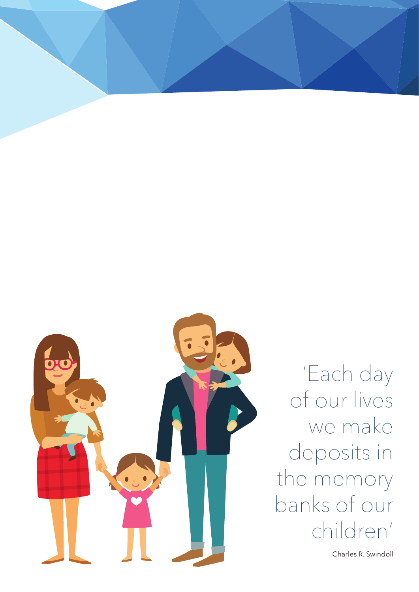

'Each day of our lives we make deposits in the memory banks of our children'

Charles R. Swindoll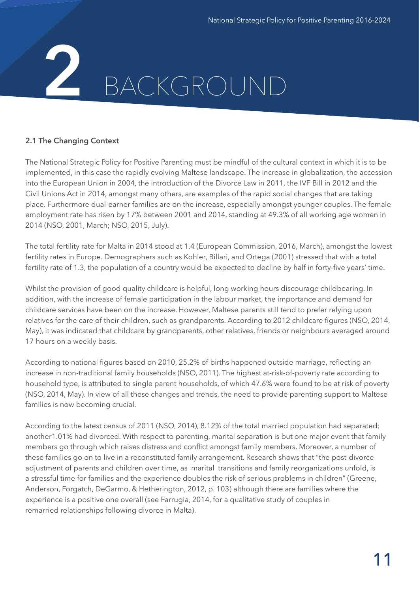# BACKGROUND **2**

#### **2.1 The Changing Context**

The National Strategic Policy for Positive Parenting must be mindful of the cultural context in which it is to be implemented, in this case the rapidly evolving Maltese landscape. The increase in globalization, the accession into the European Union in 2004, the introduction of the Divorce Law in 2011, the IVF Bill in 2012 and the Civil Unions Act in 2014, amongst many others, are examples of the rapid social changes that are taking place. Furthermore dual-earner families are on the increase, especially amongst younger couples. The female employment rate has risen by 17% between 2001 and 2014, standing at 49.3% of all working age women in 2014 (NSO, 2001, March; NSO, 2015, July).

The total fertility rate for Malta in 2014 stood at 1.4 (European Commission, 2016, March), amongst the lowest fertility rates in Europe. Demographers such as Kohler, Billari, and Ortega (2001) stressed that with a total fertility rate of 1.3, the population of a country would be expected to decline by half in forty-five years' time.

Whilst the provision of good quality childcare is helpful, long working hours discourage childbearing. In addition, with the increase of female participation in the labour market, the importance and demand for childcare services have been on the increase. However, Maltese parents still tend to prefer relying upon relatives for the care of their children, such as grandparents. According to 2012 childcare figures (NSO, 2014, May), it was indicated that childcare by grandparents, other relatives, friends or neighbours averaged around 17 hours on a weekly basis.

According to national figures based on 2010, 25.2% of births happened outside marriage, reflecting an increase in non-traditional family households (NSO, 2011). The highest at-risk-of-poverty rate according to household type, is attributed to single parent households, of which 47.6% were found to be at risk of poverty (NSO, 2014, May). In view of all these changes and trends, the need to provide parenting support to Maltese families is now becoming crucial.

According to the latest census of 2011 (NSO, 2014), 8.12% of the total married population had separated; another1.01% had divorced. With respect to parenting, marital separation is but one major event that family members go through which raises distress and conflict amongst family members. Moreover, a number of these families go on to live in a reconstituted family arrangement. Research shows that "the post-divorce adjustment of parents and children over time, as marital transitions and family reorganizations unfold, is a stressful time for families and the experience doubles the risk of serious problems in children" (Greene, Anderson, Forgatch, DeGarmo, & Hetherington, 2012, p. 103) although there are families where the experience is a positive one overall (see Farrugia, 2014, for a qualitative study of couples in remarried relationships following divorce in Malta).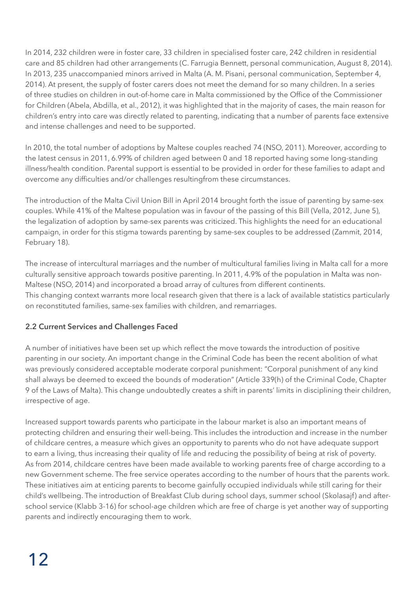In 2014, 232 children were in foster care, 33 children in specialised foster care, 242 children in residential care and 85 children had other arrangements (C. Farrugia Bennett, personal communication, August 8, 2014). In 2013, 235 unaccompanied minors arrived in Malta (A. M. Pisani, personal communication, September 4, 2014). At present, the supply of foster carers does not meet the demand for so many children. In a series of three studies on children in out-of-home care in Malta commissioned by the Office of the Commissioner for Children (Abela, Abdilla, et al., 2012), it was highlighted that in the majority of cases, the main reason for children's entry into care was directly related to parenting, indicating that a number of parents face extensive and intense challenges and need to be supported.

In 2010, the total number of adoptions by Maltese couples reached 74 (NSO, 2011). Moreover, according to the latest census in 2011, 6.99% of children aged between 0 and 18 reported having some long-standing illness/health condition. Parental support is essential to be provided in order for these families to adapt and overcome any difficulties and/or challenges resultingfrom these circumstances.

The introduction of the Malta Civil Union Bill in April 2014 brought forth the issue of parenting by same-sex couples. While 41% of the Maltese population was in favour of the passing of this Bill (Vella, 2012, June 5), the legalization of adoption by same-sex parents was criticized. This highlights the need for an educational campaign, in order for this stigma towards parenting by same-sex couples to be addressed (Zammit, 2014, February 18).

The increase of intercultural marriages and the number of multicultural families living in Malta call for a more culturally sensitive approach towards positive parenting. In 2011, 4.9% of the population in Malta was non-Maltese (NSO, 2014) and incorporated a broad array of cultures from different continents. This changing context warrants more local research given that there is a lack of available statistics particularly on reconstituted families, same-sex families with children, and remarriages.

#### **2.2 Current Services and Challenges Faced**

A number of initiatives have been set up which reflect the move towards the introduction of positive parenting in our society. An important change in the Criminal Code has been the recent abolition of what was previously considered acceptable moderate corporal punishment: "Corporal punishment of any kind shall always be deemed to exceed the bounds of moderation" (Article 339(h) of the Criminal Code, Chapter 9 of the Laws of Malta). This change undoubtedly creates a shift in parents' limits in disciplining their children, irrespective of age.

Increased support towards parents who participate in the labour market is also an important means of protecting children and ensuring their well-being. This includes the introduction and increase in the number of childcare centres, a measure which gives an opportunity to parents who do not have adequate support to earn a living, thus increasing their quality of life and reducing the possibility of being at risk of poverty. As from 2014, childcare centres have been made available to working parents free of charge according to a new Government scheme. The free service operates according to the number of hours that the parents work. These initiatives aim at enticing parents to become gainfully occupied individuals while still caring for their child's wellbeing. The introduction of Breakfast Club during school days, summer school (Skolasajf) and afterschool service (Klabb 3-16) for school-age children which are free of charge is yet another way of supporting parents and indirectly encouraging them to work.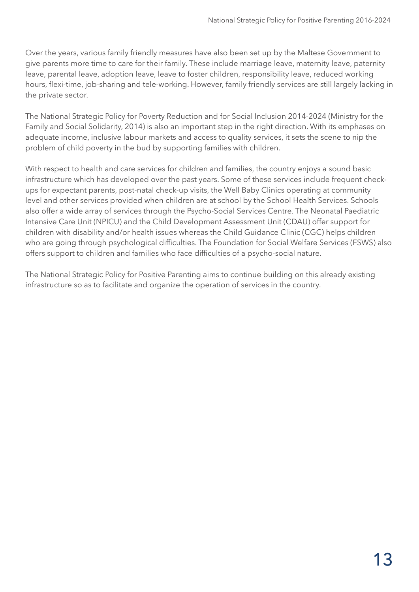Over the years, various family friendly measures have also been set up by the Maltese Government to give parents more time to care for their family. These include marriage leave, maternity leave, paternity leave, parental leave, adoption leave, leave to foster children, responsibility leave, reduced working hours, flexi-time, job-sharing and tele-working. However, family friendly services are still largely lacking in the private sector.

The National Strategic Policy for Poverty Reduction and for Social Inclusion 2014-2024 (Ministry for the Family and Social Solidarity, 2014) is also an important step in the right direction. With its emphases on adequate income, inclusive labour markets and access to quality services, it sets the scene to nip the problem of child poverty in the bud by supporting families with children.

With respect to health and care services for children and families, the country enjoys a sound basic infrastructure which has developed over the past years. Some of these services include frequent checkups for expectant parents, post-natal check-up visits, the Well Baby Clinics operating at community level and other services provided when children are at school by the School Health Services. Schools also offer a wide array of services through the Psycho-Social Services Centre. The Neonatal Paediatric Intensive Care Unit (NPICU) and the Child Development Assessment Unit (CDAU) offer support for children with disability and/or health issues whereas the Child Guidance Clinic (CGC) helps children who are going through psychological difficulties. The Foundation for Social Welfare Services (FSWS) also offers support to children and families who face difficulties of a psycho-social nature.

The National Strategic Policy for Positive Parenting aims to continue building on this already existing infrastructure so as to facilitate and organize the operation of services in the country.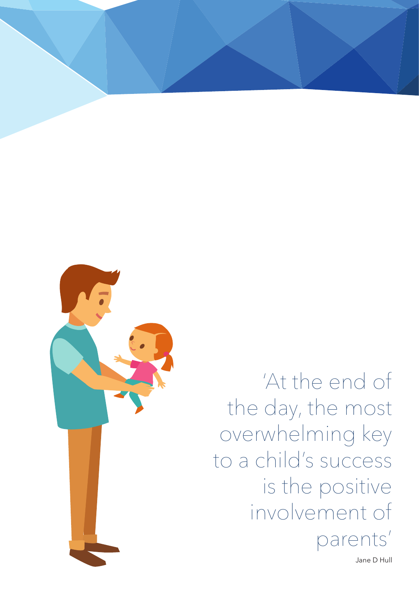

'At the end of the day, the most overwhelming key to a child's success is the positive involvement of parents'

Jane D Hull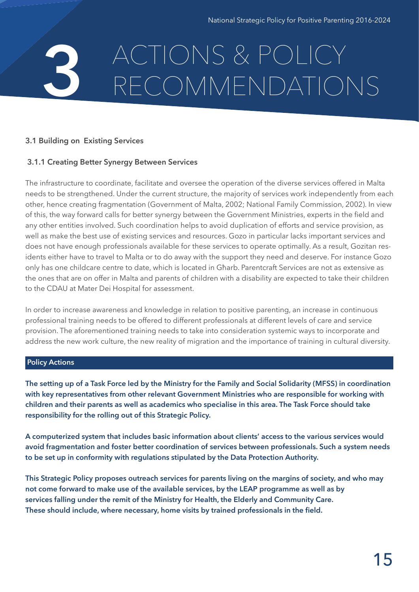### ACTIONS & POLICY RECOMMENDATIONS **3**

#### **3.1 Building on Existing Services**

#### **3.1.1 Creating Better Synergy Between Services**

The infrastructure to coordinate, facilitate and oversee the operation of the diverse services offered in Malta needs to be strengthened. Under the current structure, the majority of services work independently from each other, hence creating fragmentation (Government of Malta, 2002; National Family Commission, 2002). In view of this, the way forward calls for better synergy between the Government Ministries, experts in the field and any other entities involved. Such coordination helps to avoid duplication of efforts and service provision, as well as make the best use of existing services and resources. Gozo in particular lacks important services and does not have enough professionals available for these services to operate optimally. As a result, Gozitan residents either have to travel to Malta or to do away with the support they need and deserve. For instance Gozo only has one childcare centre to date, which is located in Għarb. Parentcraft Services are not as extensive as the ones that are on offer in Malta and parents of children with a disability are expected to take their children to the CDAU at Mater Dei Hospital for assessment.

In order to increase awareness and knowledge in relation to positive parenting, an increase in continuous professional training needs to be offered to different professionals at different levels of care and service provision. The aforementioned training needs to take into consideration systemic ways to incorporate and address the new work culture, the new reality of migration and the importance of training in cultural diversity.

#### **Policy Actions**

**The setting up of a Task Force led by the Ministry for the Family and Social Solidarity (MFSS) in coordination with key representatives from other relevant Government Ministries who are responsible for working with children and their parents as well as academics who specialise in this area. The Task Force should take responsibility for the rolling out of this Strategic Policy.** 

**A computerized system that includes basic information about clients' access to the various services would avoid fragmentation and foster better coordination of services between professionals. Such a system needs to be set up in conformity with regulations stipulated by the Data Protection Authority.**

**This Strategic Policy proposes outreach services for parents living on the margins of society, and who may not come forward to make use of the available services, by the LEAP programme as well as by services falling under the remit of the Ministry for Health, the Elderly and Community Care. These should include, where necessary, home visits by trained professionals in the field.**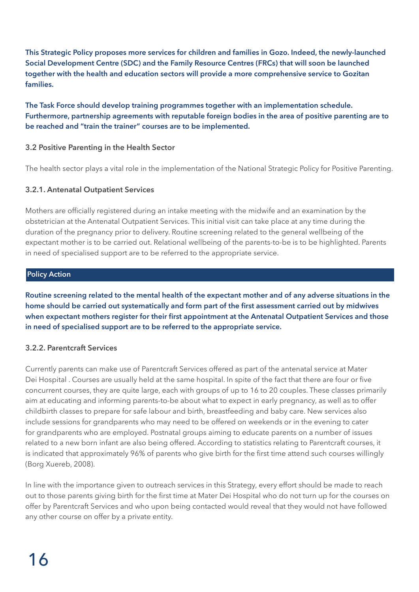**This Strategic Policy proposes more services for children and families in Gozo. Indeed, the newly-launched Social Development Centre (SDC) and the Family Resource Centres (FRCs) that will soon be launched together with the health and education sectors will provide a more comprehensive service to Gozitan families.** 

**The Task Force should develop training programmes together with an implementation schedule. Furthermore, partnership agreements with reputable foreign bodies in the area of positive parenting are to be reached and "train the trainer" courses are to be implemented.**

#### **3.2 Positive Parenting in the Health Sector**

The health sector plays a vital role in the implementation of the National Strategic Policy for Positive Parenting.

#### **3.2.1. Antenatal Outpatient Services**

Mothers are officially registered during an intake meeting with the midwife and an examination by the obstetrician at the Antenatal Outpatient Services. This initial visit can take place at any time during the duration of the pregnancy prior to delivery. Routine screening related to the general wellbeing of the expectant mother is to be carried out. Relational wellbeing of the parents-to-be is to be highlighted. Parents in need of specialised support are to be referred to the appropriate service.

#### **Policy Action**

**Routine screening related to the mental health of the expectant mother and of any adverse situations in the home should be carried out systematically and form part of the first assessment carried out by midwives when expectant mothers register for their first appointment at the Antenatal Outpatient Services and those in need of specialised support are to be referred to the appropriate service.**

#### **3.2.2. Parentcraft Services**

Currently parents can make use of Parentcraft Services offered as part of the antenatal service at Mater Dei Hospital . Courses are usually held at the same hospital. In spite of the fact that there are four or five concurrent courses, they are quite large, each with groups of up to 16 to 20 couples. These classes primarily aim at educating and informing parents-to-be about what to expect in early pregnancy, as well as to offer childbirth classes to prepare for safe labour and birth, breastfeeding and baby care. New services also include sessions for grandparents who may need to be offered on weekends or in the evening to cater for grandparents who are employed. Postnatal groups aiming to educate parents on a number of issues related to a new born infant are also being offered. According to statistics relating to Parentcraft courses, it is indicated that approximately 96% of parents who give birth for the first time attend such courses willingly (Borg Xuereb, 2008).

In line with the importance given to outreach services in this Strategy, every effort should be made to reach out to those parents giving birth for the first time at Mater Dei Hospital who do not turn up for the courses on offer by Parentcraft Services and who upon being contacted would reveal that they would not have followed any other course on offer by a private entity.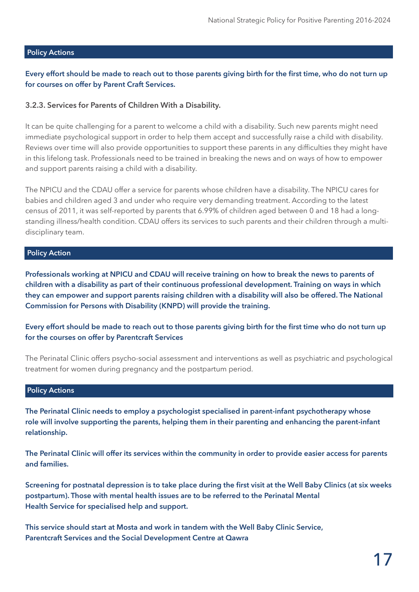#### **Policy Actions**

#### **Every effort should be made to reach out to those parents giving birth for the first time, who do not turn up for courses on offer by Parent Craft Services.**

#### **3.2.3. Services for Parents of Children With a Disability.**

It can be quite challenging for a parent to welcome a child with a disability. Such new parents might need immediate psychological support in order to help them accept and successfully raise a child with disability. Reviews over time will also provide opportunities to support these parents in any difficulties they might have in this lifelong task. Professionals need to be trained in breaking the news and on ways of how to empower and support parents raising a child with a disability.

The NPICU and the CDAU offer a service for parents whose children have a disability. The NPICU cares for babies and children aged 3 and under who require very demanding treatment. According to the latest census of 2011, it was self-reported by parents that 6.99% of children aged between 0 and 18 had a longstanding illness/health condition. CDAU offers its services to such parents and their children through a multidisciplinary team.

#### **Policy Action**

**Professionals working at NPICU and CDAU will receive training on how to break the news to parents of children with a disability as part of their continuous professional development. Training on ways in which they can empower and support parents raising children with a disability will also be offered. The National Commission for Persons with Disability (KNPD) will provide the training.**

**Every effort should be made to reach out to those parents giving birth for the first time who do not turn up for the courses on offer by Parentcraft Services**

The Perinatal Clinic offers psycho-social assessment and interventions as well as psychiatric and psychological treatment for women during pregnancy and the postpartum period.

#### **Policy Actions**

**The Perinatal Clinic needs to employ a psychologist specialised in parent-infant psychotherapy whose role will involve supporting the parents, helping them in their parenting and enhancing the parent-infant relationship.** 

**The Perinatal Clinic will offer its services within the community in order to provide easier access for parents and families.**

**Screening for postnatal depression is to take place during the first visit at the Well Baby Clinics (at six weeks postpartum). Those with mental health issues are to be referred to the Perinatal Mental Health Service for specialised help and support.**

**This service should start at Mosta and work in tandem with the Well Baby Clinic Service, Parentcraft Services and the Social Development Centre at Qawra**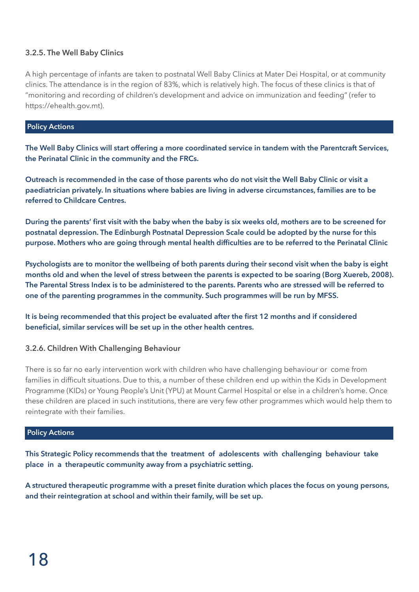#### **3.2.5. The Well Baby Clinics**

A high percentage of infants are taken to postnatal Well Baby Clinics at Mater Dei Hospital, or at community clinics. The attendance is in the region of 83%, which is relatively high. The focus of these clinics is that of "monitoring and recording of children's development and advice on immunization and feeding" (refer to https://ehealth.gov.mt).

#### **Policy Actions**

**The Well Baby Clinics will start offering a more coordinated service in tandem with the Parentcraft Services, the Perinatal Clinic in the community and the FRCs.**

**Outreach is recommended in the case of those parents who do not visit the Well Baby Clinic or visit a paediatrician privately. In situations where babies are living in adverse circumstances, families are to be referred to Childcare Centres.**

**During the parents' first visit with the baby when the baby is six weeks old, mothers are to be screened for postnatal depression. The Edinburgh Postnatal Depression Scale could be adopted by the nurse for this purpose. Mothers who are going through mental health difficulties are to be referred to the Perinatal Clinic**

**Psychologists are to monitor the wellbeing of both parents during their second visit when the baby is eight months old and when the level of stress between the parents is expected to be soaring (Borg Xuereb, 2008). The Parental Stress Index is to be administered to the parents. Parents who are stressed will be referred to one of the parenting programmes in the community. Such programmes will be run by MFSS.**

**It is being recommended that this project be evaluated after the first 12 months and if considered beneficial, similar services will be set up in the other health centres.** 

#### **3.2.6. Children With Challenging Behaviour**

There is so far no early intervention work with children who have challenging behaviour or come from families in difficult situations. Due to this, a number of these children end up within the Kids in Development Programme (KIDs) or Young People's Unit (YPU) at Mount Carmel Hospital or else in a children's home. Once these children are placed in such institutions, there are very few other programmes which would help them to reintegrate with their families.

#### **Policy Actions**

**This Strategic Policy recommends that the treatment of adolescents with challenging behaviour take place in a therapeutic community away from a psychiatric setting.**

**A structured therapeutic programme with a preset finite duration which places the focus on young persons, and their reintegration at school and within their family, will be set up.**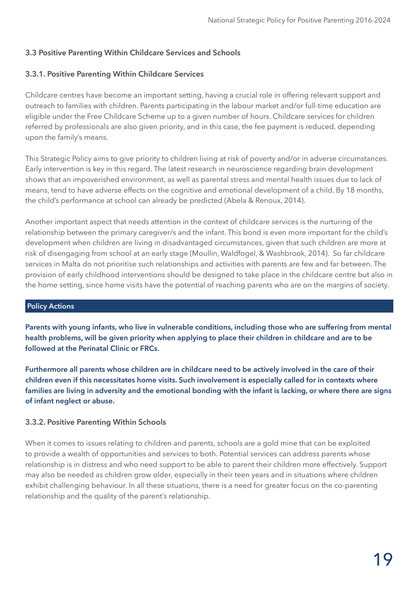#### **3.3 Positive Parenting Within Childcare Services and Schools**

#### **3.3.1. Positive Parenting Within Childcare Services**

Childcare centres have become an important setting, having a crucial role in offering relevant support and outreach to families with children. Parents participating in the labour market and/or full-time education are eligible under the Free Childcare Scheme up to a given number of hours. Childcare services for children referred by professionals are also given priority, and in this case, the fee payment is reduced, depending upon the family's means.

This Strategic Policy aims to give priority to children living at risk of poverty and/or in adverse circumstances. Early intervention is key in this regard. The latest research in neuroscience regarding brain development shows that an impoverished environment, as well as parental stress and mental health issues due to lack of means, tend to have adverse effects on the cognitive and emotional development of a child. By 18 months, the child's performance at school can already be predicted (Abela & Renoux, 2014).

Another important aspect that needs attention in the context of childcare services is the nurturing of the relationship between the primary caregiver/s and the infant. This bond is even more important for the child's development when children are living in disadvantaged circumstances, given that such children are more at risk of disengaging from school at an early stage (Moullin, Waldfogel, & Washbrook, 2014). So far childcare services in Malta do not prioritise such relationships and activities with parents are few and far between. The provision of early childhood interventions should be designed to take place in the childcare centre but also in the home setting, since home visits have the potential of reaching parents who are on the margins of society.

#### **Policy Actions**

**Parents with young infants, who live in vulnerable conditions, including those who are suffering from mental health problems, will be given priority when applying to place their children in childcare and are to be followed at the Perinatal Clinic or FRCs.**

**Furthermore all parents whose children are in childcare need to be actively involved in the care of their children even if this necessitates home visits. Such involvement is especially called for in contexts where families are living in adversity and the emotional bonding with the infant is lacking, or where there are signs of infant neglect or abuse.**

#### **3.3.2. Positive Parenting Within Schools**

When it comes to issues relating to children and parents, schools are a gold mine that can be exploited to provide a wealth of opportunities and services to both. Potential services can address parents whose relationship is in distress and who need support to be able to parent their children more effectively. Support may also be needed as children grow older, especially in their teen years and in situations where children exhibit challenging behaviour. In all these situations, there is a need for greater focus on the co-parenting relationship and the quality of the parent's relationship.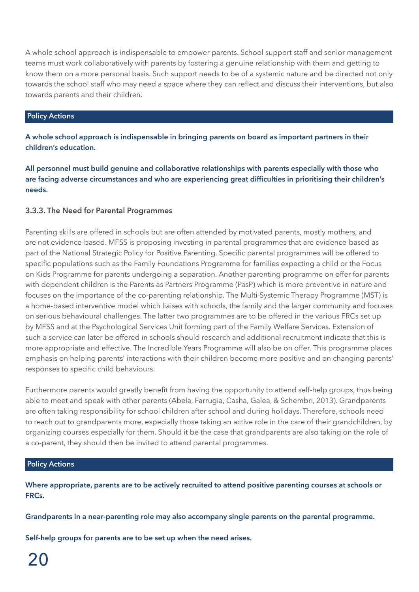A whole school approach is indispensable to empower parents. School support staff and senior management teams must work collaboratively with parents by fostering a genuine relationship with them and getting to know them on a more personal basis. Such support needs to be of a systemic nature and be directed not only towards the school staff who may need a space where they can reflect and discuss their interventions, but also towards parents and their children.

#### **Policy Actions**

**A whole school approach is indispensable in bringing parents on board as important partners in their children's education.**

**All personnel must build genuine and collaborative relationships with parents especially with those who are facing adverse circumstances and who are experiencing great difficulties in prioritising their children's needs.**

#### **3.3.3. The Need for Parental Programmes**

Parenting skills are offered in schools but are often attended by motivated parents, mostly mothers, and are not evidence-based. MFSS is proposing investing in parental programmes that are evidence-based as part of the National Strategic Policy for Positive Parenting. Specific parental programmes will be offered to specific populations such as the Family Foundations Programme for families expecting a child or the Focus on Kids Programme for parents undergoing a separation. Another parenting programme on offer for parents with dependent children is the Parents as Partners Programme (PasP) which is more preventive in nature and focuses on the importance of the co-parenting relationship. The Multi-Systemic Therapy Programme (MST) is a home-based interventive model which liaises with schools, the family and the larger community and focuses on serious behavioural challenges. The latter two programmes are to be offered in the various FRCs set up by MFSS and at the Psychological Services Unit forming part of the Family Welfare Services. Extension of such a service can later be offered in schools should research and additional recruitment indicate that this is more appropriate and effective. The Incredible Years Programme will also be on offer. This programme places emphasis on helping parents' interactions with their children become more positive and on changing parents' responses to specific child behaviours.

Furthermore parents would greatly benefit from having the opportunity to attend self-help groups, thus being able to meet and speak with other parents (Abela, Farrugia, Casha, Galea, & Schembri, 2013). Grandparents are often taking responsibility for school children after school and during holidays. Therefore, schools need to reach out to grandparents more, especially those taking an active role in the care of their grandchildren, by organizing courses especially for them. Should it be the case that grandparents are also taking on the role of a co-parent, they should then be invited to attend parental programmes.

#### **Policy Actions**

**Where appropriate, parents are to be actively recruited to attend positive parenting courses at schools or FRCs.**

**Grandparents in a near-parenting role may also accompany single parents on the parental programme.** 

**Self-help groups for parents are to be set up when the need arises.**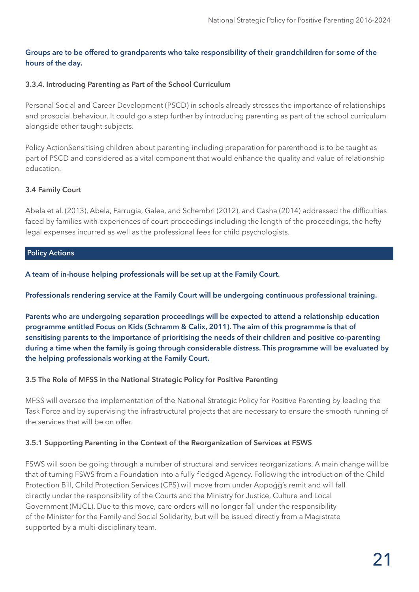#### **Groups are to be offered to grandparents who take responsibility of their grandchildren for some of the hours of the day.**

#### **3.3.4. Introducing Parenting as Part of the School Curriculum**

Personal Social and Career Development (PSCD) in schools already stresses the importance of relationships and prosocial behaviour. It could go a step further by introducing parenting as part of the school curriculum alongside other taught subjects.

Policy ActionSensitising children about parenting including preparation for parenthood is to be taught as part of PSCD and considered as a vital component that would enhance the quality and value of relationship education.

#### **3.4 Family Court**

Abela et al. (2013), Abela, Farrugia, Galea, and Schembri (2012), and Casha (2014) addressed the difficulties faced by families with experiences of court proceedings including the length of the proceedings, the hefty legal expenses incurred as well as the professional fees for child psychologists.

#### **Policy Actions**

**A team of in-house helping professionals will be set up at the Family Court.**

#### **Professionals rendering service at the Family Court will be undergoing continuous professional training.**

**Parents who are undergoing separation proceedings will be expected to attend a relationship education programme entitled Focus on Kids (Schramm & Calix, 2011). The aim of this programme is that of sensitising parents to the importance of prioritising the needs of their children and positive co-parenting during a time when the family is going through considerable distress. This programme will be evaluated by the helping professionals working at the Family Court.**

#### **3.5 The Role of MFSS in the National Strategic Policy for Positive Parenting**

MFSS will oversee the implementation of the National Strategic Policy for Positive Parenting by leading the Task Force and by supervising the infrastructural projects that are necessary to ensure the smooth running of the services that will be on offer.

#### **3.5.1 Supporting Parenting in the Context of the Reorganization of Services at FSWS**

FSWS will soon be going through a number of structural and services reorganizations. A main change will be that of turning FSWS from a Foundation into a fully-fledged Agency. Following the introduction of the Child Protection Bill, Child Protection Services (CPS) will move from under Appoġġ's remit and will fall directly under the responsibility of the Courts and the Ministry for Justice, Culture and Local Government (MJCL). Due to this move, care orders will no longer fall under the responsibility of the Minister for the Family and Social Solidarity, but will be issued directly from a Magistrate supported by a multi-disciplinary team.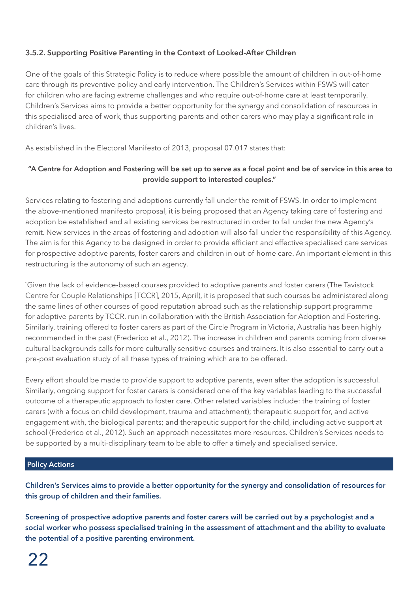#### **3.5.2. Supporting Positive Parenting in the Context of Looked-After Children**

One of the goals of this Strategic Policy is to reduce where possible the amount of children in out-of-home care through its preventive policy and early intervention. The Children's Services within FSWS will cater for children who are facing extreme challenges and who require out-of-home care at least temporarily. Children's Services aims to provide a better opportunity for the synergy and consolidation of resources in this specialised area of work, thus supporting parents and other carers who may play a significant role in children's lives.

As established in the Electoral Manifesto of 2013, proposal 07.017 states that:

#### **"A Centre for Adoption and Fostering will be set up to serve as a focal point and be of service in this area to provide support to interested couples."**

Services relating to fostering and adoptions currently fall under the remit of FSWS. In order to implement the above-mentioned manifesto proposal, it is being proposed that an Agency taking care of fostering and adoption be established and all existing services be restructured in order to fall under the new Agency's remit. New services in the areas of fostering and adoption will also fall under the responsibility of this Agency. The aim is for this Agency to be designed in order to provide efficient and effective specialised care services for prospective adoptive parents, foster carers and children in out-of-home care. An important element in this restructuring is the autonomy of such an agency.

`Given the lack of evidence-based courses provided to adoptive parents and foster carers (The Tavistock Centre for Couple Relationships [TCCR], 2015, April), it is proposed that such courses be administered along the same lines of other courses of good reputation abroad such as the relationship support programme for adoptive parents by TCCR, run in collaboration with the British Association for Adoption and Fostering. Similarly, training offered to foster carers as part of the Circle Program in Victoria, Australia has been highly recommended in the past (Frederico et al., 2012). The increase in children and parents coming from diverse cultural backgrounds calls for more culturally sensitive courses and trainers. It is also essential to carry out a pre-post evaluation study of all these types of training which are to be offered.

Every effort should be made to provide support to adoptive parents, even after the adoption is successful. Similarly, ongoing support for foster carers is considered one of the key variables leading to the successful outcome of a therapeutic approach to foster care. Other related variables include: the training of foster carers (with a focus on child development, trauma and attachment); therapeutic support for, and active engagement with, the biological parents; and therapeutic support for the child, including active support at school (Frederico et al., 2012). Such an approach necessitates more resources. Children's Services needs to be supported by a multi-disciplinary team to be able to offer a timely and specialised service.

#### **Policy Actions**

**Children's Services aims to provide a better opportunity for the synergy and consolidation of resources for this group of children and their families.**

**Screening of prospective adoptive parents and foster carers will be carried out by a psychologist and a social worker who possess specialised training in the assessment of attachment and the ability to evaluate the potential of a positive parenting environment.**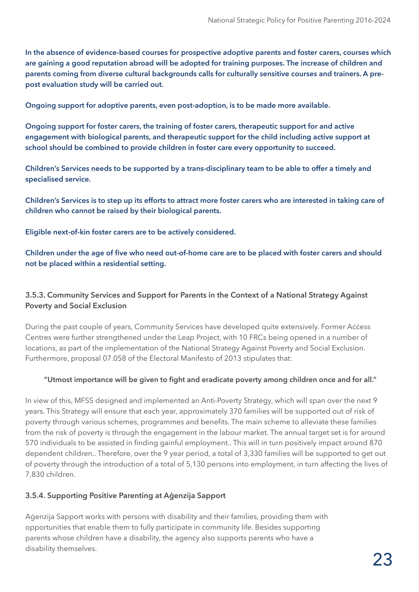**In the absence of evidence-based courses for prospective adoptive parents and foster carers, courses which are gaining a good reputation abroad will be adopted for training purposes. The increase of children and parents coming from diverse cultural backgrounds calls for culturally sensitive courses and trainers. A prepost evaluation study will be carried out.**

**Ongoing support for adoptive parents, even post-adoption, is to be made more available.** 

**Ongoing support for foster carers, the training of foster carers, therapeutic support for and active engagement with biological parents, and therapeutic support for the child including active support at school should be combined to provide children in foster care every opportunity to succeed.**

**Children's Services needs to be supported by a trans-disciplinary team to be able to offer a timely and specialised service.**

**Children's Services is to step up its efforts to attract more foster carers who are interested in taking care of children who cannot be raised by their biological parents.**

**Eligible next-of-kin foster carers are to be actively considered.** 

#### **Children under the age of five who need out-of-home care are to be placed with foster carers and should not be placed within a residential setting.**

#### **3.5.3. Community Services and Support for Parents in the Context of a National Strategy Against Poverty and Social Exclusion**

During the past couple of years, Community Services have developed quite extensively. Former Access Centres were further strengthened under the Leap Project, with 10 FRCs being opened in a number of locations, as part of the implementation of the National Strategy Against Poverty and Social Exclusion. Furthermore, proposal 07.058 of the Electoral Manifesto of 2013 stipulates that:

#### **"Utmost importance will be given to fight and eradicate poverty among children once and for all."**

In view of this, MFSS designed and implemented an Anti-Poverty Strategy, which will span over the next 9 years. This Strategy will ensure that each year, approximately 370 families will be supported out of risk of poverty through various schemes, programmes and benefits. The main scheme to alleviate these families from the risk of poverty is through the engagement in the labour market. The annual target set is for around 570 individuals to be assisted in finding gainful employment.. This will in turn positively impact around 870 dependent children.. Therefore, over the 9 year period, a total of 3,330 families will be supported to get out of poverty through the introduction of a total of 5,130 persons into employment, in turn affecting the lives of 7,830 children.

#### **3.5.4. Supporting Positive Parenting at Aġenzija Sapport**

Aġenzija Sapport works with persons with disability and their families, providing them with opportunities that enable them to fully participate in community life. Besides supporting parents whose children have a disability, the agency also supports parents who have a disability themselves.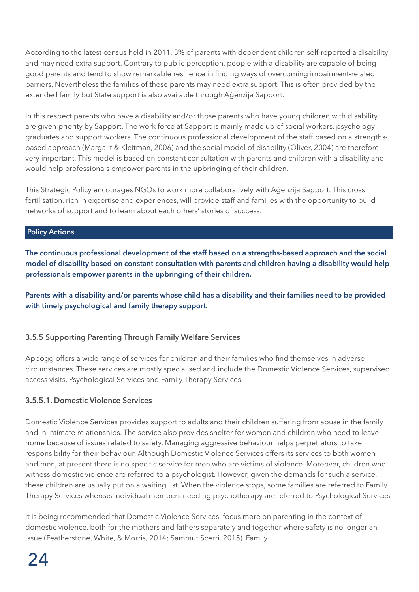According to the latest census held in 2011, 3% of parents with dependent children self-reported a disability and may need extra support. Contrary to public perception, people with a disability are capable of being good parents and tend to show remarkable resilience in finding ways of overcoming impairment-related barriers. Nevertheless the families of these parents may need extra support. This is often provided by the extended family but State support is also available through Aġenzija Sapport.

In this respect parents who have a disability and/or those parents who have young children with disability are given priority by Sapport. The work force at Sapport is mainly made up of social workers, psychology graduates and support workers. The continuous professional development of the staff based on a strengthsbased approach (Margalit & Kleitman, 2006) and the social model of disability (Oliver, 2004) are therefore very important. This model is based on constant consultation with parents and children with a disability and would help professionals empower parents in the upbringing of their children.

This Strategic Policy encourages NGOs to work more collaboratively with Aġenzija Sapport. This cross fertilisation, rich in expertise and experiences, will provide staff and families with the opportunity to build networks of support and to learn about each others' stories of success.

#### **Policy Actions**

**The continuous professional development of the staff based on a strengths-based approach and the social model of disability based on constant consultation with parents and children having a disability would help professionals empower parents in the upbringing of their children.** 

**Parents with a disability and/or parents whose child has a disability and their families need to be provided with timely psychological and family therapy support.** 

#### **3.5.5 Supporting Parenting Through Family Welfare Services**

Appoġġ offers a wide range of services for children and their families who find themselves in adverse circumstances. These services are mostly specialised and include the Domestic Violence Services, supervised access visits, Psychological Services and Family Therapy Services.

#### **3.5.5.1. Domestic Violence Services**

Domestic Violence Services provides support to adults and their children suffering from abuse in the family and in intimate relationships. The service also provides shelter for women and children who need to leave home because of issues related to safety. Managing aggressive behaviour helps perpetrators to take responsibility for their behaviour. Although Domestic Violence Services offers its services to both women and men, at present there is no specific service for men who are victims of violence. Moreover, children who witness domestic violence are referred to a psychologist. However, given the demands for such a service, these children are usually put on a waiting list. When the violence stops, some families are referred to Family Therapy Services whereas individual members needing psychotherapy are referred to Psychological Services.

It is being recommended that Domestic Violence Services focus more on parenting in the context of domestic violence, both for the mothers and fathers separately and together where safety is no longer an issue (Featherstone, White, & Morris, 2014; Sammut Scerri, 2015). Family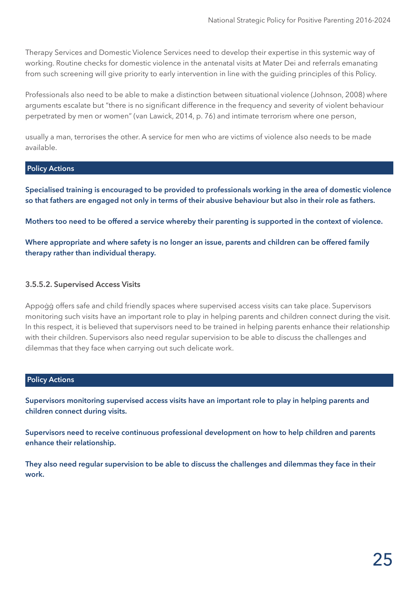Therapy Services and Domestic Violence Services need to develop their expertise in this systemic way of working. Routine checks for domestic violence in the antenatal visits at Mater Dei and referrals emanating from such screening will give priority to early intervention in line with the guiding principles of this Policy.

Professionals also need to be able to make a distinction between situational violence (Johnson, 2008) where arguments escalate but "there is no significant difference in the frequency and severity of violent behaviour perpetrated by men or women" (van Lawick, 2014, p. 76) and intimate terrorism where one person,

usually a man, terrorises the other. A service for men who are victims of violence also needs to be made available.

#### **Policy Actions**

**Specialised training is encouraged to be provided to professionals working in the area of domestic violence so that fathers are engaged not only in terms of their abusive behaviour but also in their role as fathers.** 

**Mothers too need to be offered a service whereby their parenting is supported in the context of violence.**

**Where appropriate and where safety is no longer an issue, parents and children can be offered family therapy rather than individual therapy.** 

#### **3.5.5.2. Supervised Access Visits**

Appoġġ offers safe and child friendly spaces where supervised access visits can take place. Supervisors monitoring such visits have an important role to play in helping parents and children connect during the visit. In this respect, it is believed that supervisors need to be trained in helping parents enhance their relationship with their children. Supervisors also need regular supervision to be able to discuss the challenges and dilemmas that they face when carrying out such delicate work.

#### **Policy Actions**

**Supervisors monitoring supervised access visits have an important role to play in helping parents and children connect during visits.**

**Supervisors need to receive continuous professional development on how to help children and parents enhance their relationship.**

**They also need regular supervision to be able to discuss the challenges and dilemmas they face in their work.**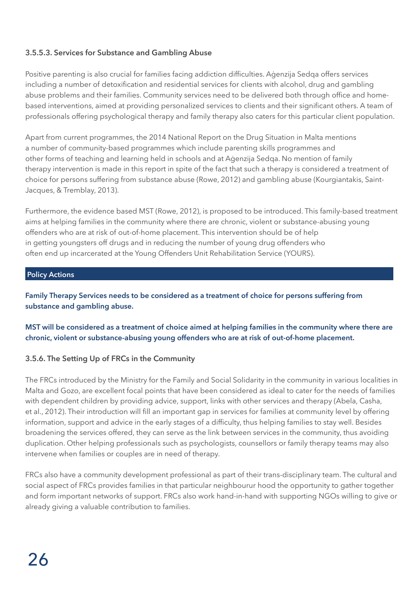#### **3.5.5.3. Services for Substance and Gambling Abuse**

Positive parenting is also crucial for families facing addiction difficulties. Agenzija Sedga offers services including a number of detoxification and residential services for clients with alcohol, drug and gambling abuse problems and their families. Community services need to be delivered both through office and homebased interventions, aimed at providing personalized services to clients and their significant others. A team of professionals offering psychological therapy and family therapy also caters for this particular client population.

Apart from current programmes, the 2014 National Report on the Drug Situation in Malta mentions a number of community-based programmes which include parenting skills programmes and other forms of teaching and learning held in schools and at Aġenzija Sedqa. No mention of family therapy intervention is made in this report in spite of the fact that such a therapy is considered a treatment of choice for persons suffering from substance abuse (Rowe, 2012) and gambling abuse (Kourgiantakis, Saint-Jacques, & Tremblay, 2013).

Furthermore, the evidence based MST (Rowe, 2012), is proposed to be introduced. This family-based treatment aims at helping families in the community where there are chronic, violent or substance-abusing young offenders who are at risk of out-of-home placement. This intervention should be of help in getting youngsters off drugs and in reducing the number of young drug offenders who often end up incarcerated at the Young Offenders Unit Rehabilitation Service (YOURS).

#### **Policy Actions**

**Family Therapy Services needs to be considered as a treatment of choice for persons suffering from substance and gambling abuse.**

**MST will be considered as a treatment of choice aimed at helping families in the community where there are chronic, violent or substance-abusing young offenders who are at risk of out-of-home placement.** 

#### **3.5.6. The Setting Up of FRCs in the Community**

The FRCs introduced by the Ministry for the Family and Social Solidarity in the community in various localities in Malta and Gozo, are excellent focal points that have been considered as ideal to cater for the needs of families with dependent children by providing advice, support, links with other services and therapy (Abela, Casha, et al., 2012). Their introduction will fill an important gap in services for families at community level by offering information, support and advice in the early stages of a difficulty, thus helping families to stay well. Besides broadening the services offered, they can serve as the link between services in the community, thus avoiding duplication. Other helping professionals such as psychologists, counsellors or family therapy teams may also intervene when families or couples are in need of therapy.

FRCs also have a community development professional as part of their trans-disciplinary team. The cultural and social aspect of FRCs provides families in that particular neighbourur hood the opportunity to gather together and form important networks of support. FRCs also work hand-in-hand with supporting NGOs willing to give or already giving a valuable contribution to families.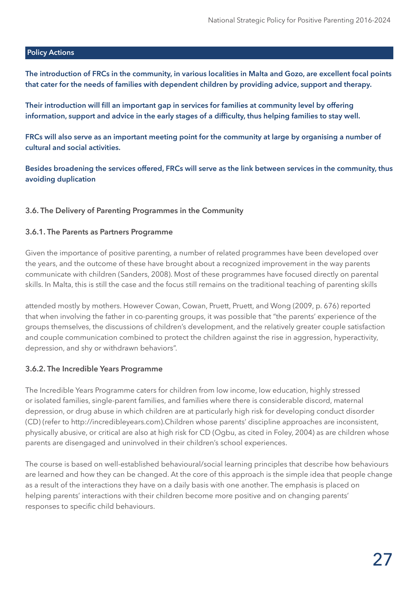#### **Policy Actions**

**The introduction of FRCs in the community, in various localities in Malta and Gozo, are excellent focal points that cater for the needs of families with dependent children by providing advice, support and therapy.** 

**Their introduction will fill an important gap in services for families at community level by offering information, support and advice in the early stages of a difficulty, thus helping families to stay well.**

**FRCs will also serve as an important meeting point for the community at large by organising a number of cultural and social activities.**

**Besides broadening the services offered, FRCs will serve as the link between services in the community, thus avoiding duplication**

#### **3.6. The Delivery of Parenting Programmes in the Community**

#### **3.6.1. The Parents as Partners Programme**

Given the importance of positive parenting, a number of related programmes have been developed over the years, and the outcome of these have brought about a recognized improvement in the way parents communicate with children (Sanders, 2008). Most of these programmes have focused directly on parental skills. In Malta, this is still the case and the focus still remains on the traditional teaching of parenting skills

attended mostly by mothers. However Cowan, Cowan, Pruett, Pruett, and Wong (2009, p. 676) reported that when involving the father in co-parenting groups, it was possible that "the parents' experience of the groups themselves, the discussions of children's development, and the relatively greater couple satisfaction and couple communication combined to protect the children against the rise in aggression, hyperactivity, depression, and shy or withdrawn behaviors".

#### **3.6.2. The Incredible Years Programme**

The Incredible Years Programme caters for children from low income, low education, highly stressed or isolated families, single-parent families, and families where there is considerable discord, maternal depression, or drug abuse in which children are at particularly high risk for developing conduct disorder (CD) (refer to http://incredibleyears.com).Children whose parents' discipline approaches are inconsistent, physically abusive, or critical are also at high risk for CD (Ogbu, as cited in Foley, 2004) as are children whose parents are disengaged and uninvolved in their children's school experiences.

The course is based on well-established behavioural/social learning principles that describe how behaviours are learned and how they can be changed. At the core of this approach is the simple idea that people change as a result of the interactions they have on a daily basis with one another. The emphasis is placed on helping parents' interactions with their children become more positive and on changing parents' responses to specific child behaviours.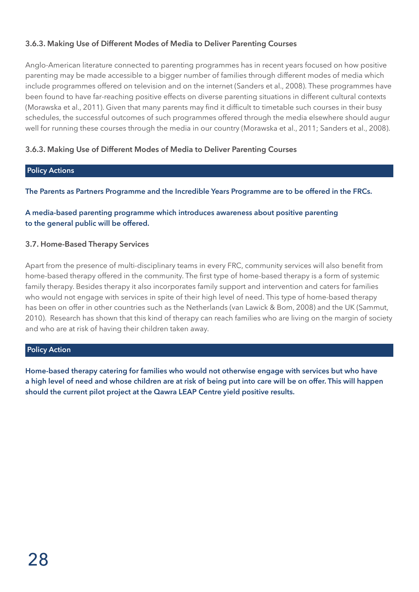#### **3.6.3. Making Use of Different Modes of Media to Deliver Parenting Courses**

Anglo-American literature connected to parenting programmes has in recent years focused on how positive parenting may be made accessible to a bigger number of families through different modes of media which include programmes offered on television and on the internet (Sanders et al., 2008). These programmes have been found to have far-reaching positive effects on diverse parenting situations in different cultural contexts (Morawska et al., 2011). Given that many parents may find it difficult to timetable such courses in their busy schedules, the successful outcomes of such programmes offered through the media elsewhere should augur well for running these courses through the media in our country (Morawska et al., 2011; Sanders et al., 2008).

#### **3.6.3. Making Use of Different Modes of Media to Deliver Parenting Courses**

#### **Policy Actions**

**The Parents as Partners Programme and the Incredible Years Programme are to be offered in the FRCs.** 

#### **A media-based parenting programme which introduces awareness about positive parenting to the general public will be offered.**

#### **3.7. Home-Based Therapy Services**

Apart from the presence of multi-disciplinary teams in every FRC, community services will also benefit from home-based therapy offered in the community. The first type of home-based therapy is a form of systemic family therapy. Besides therapy it also incorporates family support and intervention and caters for families who would not engage with services in spite of their high level of need. This type of home-based therapy has been on offer in other countries such as the Netherlands (van Lawick & Bom, 2008) and the UK (Sammut, 2010). Research has shown that this kind of therapy can reach families who are living on the margin of society and who are at risk of having their children taken away.

#### **Policy Action**

**Home-based therapy catering for families who would not otherwise engage with services but who have a high level of need and whose children are at risk of being put into care will be on offer. This will happen should the current pilot project at the Qawra LEAP Centre yield positive results.**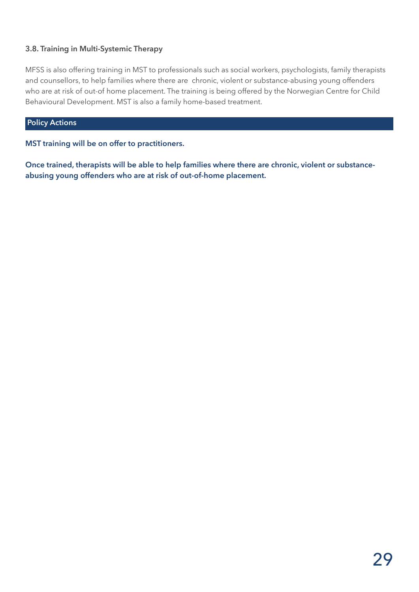#### **3.8. Training in Multi-Systemic Therapy**

MFSS is also offering training in MST to professionals such as social workers, psychologists, family therapists and counsellors, to help families where there are chronic, violent or substance-abusing young offenders who are at risk of out-of home placement. The training is being offered by the Norwegian Centre for Child Behavioural Development. MST is also a family home-based treatment.

#### **Policy Actions**

**MST training will be on offer to practitioners.**

**Once trained, therapists will be able to help families where there are chronic, violent or substanceabusing young offenders who are at risk of out-of-home placement.**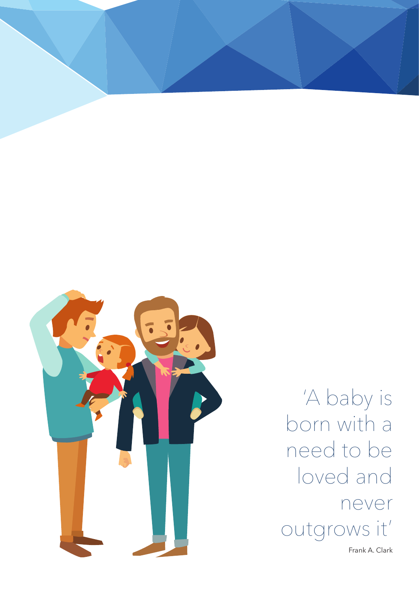

'A baby is born with a need to be loved and never outgrows it'

Frank A. Clark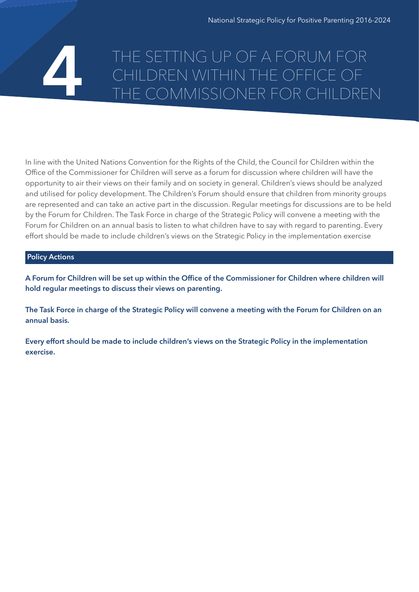## THE SETTING UP OF A FORUM FOR CHILDREN WITHIN THE OFFICE OF **4** THE COMMISSIONER FOR CHILDREN

In line with the United Nations Convention for the Rights of the Child, the Council for Children within the Office of the Commissioner for Children will serve as a forum for discussion where children will have the opportunity to air their views on their family and on society in general. Children's views should be analyzed and utilised for policy development. The Children's Forum should ensure that children from minority groups are represented and can take an active part in the discussion. Regular meetings for discussions are to be held by the Forum for Children. The Task Force in charge of the Strategic Policy will convene a meeting with the Forum for Children on an annual basis to listen to what children have to say with regard to parenting. Every effort should be made to include children's views on the Strategic Policy in the implementation exercise

#### **Policy Actions**

**A Forum for Children will be set up within the Office of the Commissioner for Children where children will hold regular meetings to discuss their views on parenting.** 

**The Task Force in charge of the Strategic Policy will convene a meeting with the Forum for Children on an annual basis.**

**Every effort should be made to include children's views on the Strategic Policy in the implementation exercise.**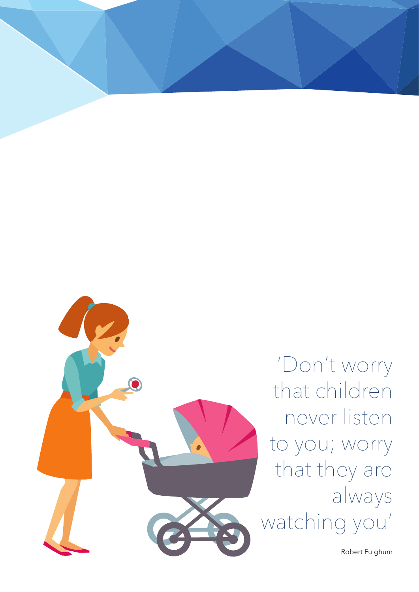

'Don't worry that children never listen to you; worry that they are always watching you'

Robert Fulghum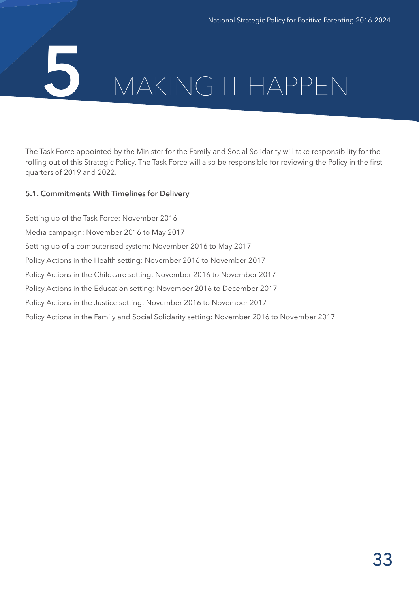## **5** MAKING IT HAPPEN

The Task Force appointed by the Minister for the Family and Social Solidarity will take responsibility for the rolling out of this Strategic Policy. The Task Force will also be responsible for reviewing the Policy in the first quarters of 2019 and 2022.

#### **5.1. Commitments With Timelines for Delivery**

Setting up of the Task Force: November 2016 Media campaign: November 2016 to May 2017 Setting up of a computerised system: November 2016 to May 2017 Policy Actions in the Health setting: November 2016 to November 2017 Policy Actions in the Childcare setting: November 2016 to November 2017 Policy Actions in the Education setting: November 2016 to December 2017 Policy Actions in the Justice setting: November 2016 to November 2017 Policy Actions in the Family and Social Solidarity setting: November 2016 to November 2017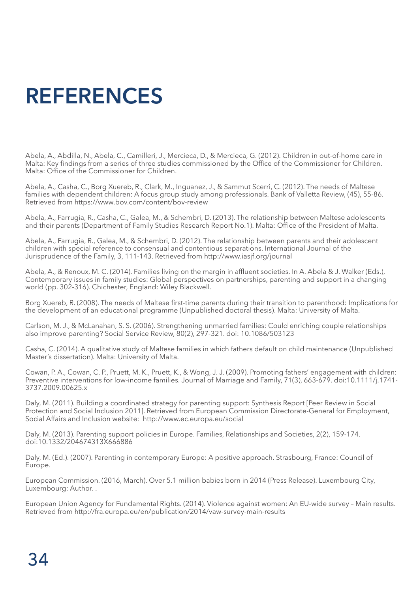## **REFERENCES**

Abela, A., Abdilla, N., Abela, C., Camilleri, J., Mercieca, D., & Mercieca, G. (2012). Children in out-of-home care in Malta: Key findings from a series of three studies commissioned by the Office of the Commissioner for Children. Malta: Office of the Commissioner for Children.

Abela, A., Casha, C., Borg Xuereb, R., Clark, M., Inguanez, J., & Sammut Scerri, C. (2012). The needs of Maltese families with dependent children: A focus group study among professionals. Bank of Valletta Review, (45), 55-86. Retrieved from https://www.bov.com/content/bov-review

Abela, A., Farrugia, R., Casha, C., Galea, M., & Schembri, D. (2013). The relationship between Maltese adolescents and their parents (Department of Family Studies Research Report No.1). Malta: Office of the President of Malta.

Abela, A., Farrugia, R., Galea, M., & Schembri, D. (2012). The relationship between parents and their adolescent children with special reference to consensual and contentious separations. International Journal of the Jurisprudence of the Family, 3, 111-143. Retrieved from http://www.iasjf.org/journal

Abela, A., & Renoux, M. C. (2014). Families living on the margin in affluent societies. In A. Abela & J. Walker (Eds.), Contemporary issues in family studies: Global perspectives on partnerships, parenting and support in a changing world (pp. 302-316). Chichester, England: Wiley Blackwell.

Borg Xuereb, R. (2008). The needs of Maltese first-time parents during their transition to parenthood: Implications for the development of an educational programme (Unpublished doctoral thesis). Malta: University of Malta.

Carlson, M. J., & McLanahan, S. S. (2006). Strengthening unmarried families: Could enriching couple relationships also improve parenting? Social Service Review, 80(2), 297-321. doi: 10.1086/503123

Casha, C. (2014). A qualitative study of Maltese families in which fathers default on child maintenance (Unpublished Master's dissertation). Malta: University of Malta.

Cowan, P. A., Cowan, C. P., Pruett, M. K., Pruett, K., & Wong, J. J. (2009). Promoting fathers' engagement with children: Preventive interventions for low-income families. Journal of Marriage and Family, 71(3), 663-679. doi:10.1111/j.1741- 3737.2009.00625.x

Daly, M. (2011). Building a coordinated strategy for parenting support: Synthesis Report [Peer Review in Social Protection and Social Inclusion 2011]. Retrieved from European Commission Directorate-General for Employment, Social Affairs and Inclusion website: http://www.ec.europa.eu/social

Daly, M. (2013). Parenting support policies in Europe. Families, Relationships and Societies, 2(2), 159-174. doi:10.1332/204674313X666886

Daly, M. (Ed.). (2007). Parenting in contemporary Europe: A positive approach. Strasbourg, France: Council of Europe.

European Commission. (2016, March). Over 5.1 million babies born in 2014 (Press Release). Luxembourg City, Luxembourg: Author. .

European Union Agency for Fundamental Rights. (2014). Violence against women: An EU-wide survey – Main results. Retrieved from http://fra.europa.eu/en/publication/2014/vaw-survey-main-results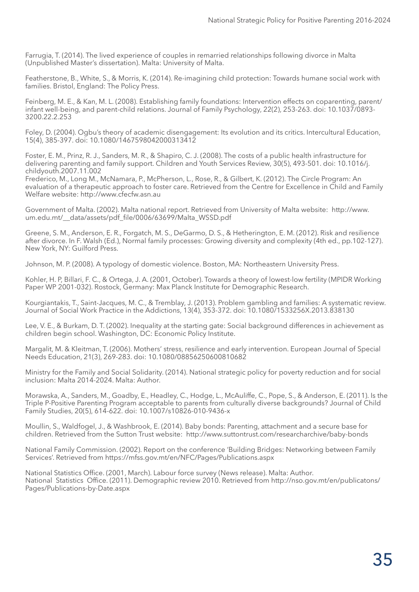Farrugia, T. (2014). The lived experience of couples in remarried relationships following divorce in Malta (Unpublished Master's dissertation). Malta: University of Malta.

Featherstone, B., White, S., & Morris, K. (2014). Re-imagining child protection: Towards humane social work with families. Bristol, England: The Policy Press.

Feinberg, M. E., & Kan, M. L. (2008). Establishing family foundations: Intervention effects on coparenting, parent/ infant well-being, and parent-child relations. Journal of Family Psychology, 22(2), 253-263. doi: 10.1037/0893- 3200.22.2.253

Foley, D. (2004). Ogbu's theory of academic disengagement: Its evolution and its critics. Intercultural Education, 15(4), 385-397. doi: 10.1080/1467598042000313412

Foster, E. M., Prinz, R. J., Sanders, M. R., & Shapiro, C. J. (2008). The costs of a public health infrastructure for delivering parenting and family support. Children and Youth Services Review, 30(5), 493-501. doi: 10.1016/j. childyouth.2007.11.002

Frederico, M., Long M., McNamara, P., McPherson, L., Rose, R., & Gilbert, K. (2012). The Circle Program: An evaluation of a therapeutic approach to foster care. Retrieved from the Centre for Excellence in Child and Family Welfare website: http://www.cfecfw.asn.au

Government of Malta. (2002). Malta national report. Retrieved from University of Malta website: http://www. um.edu.mt/ data/assets/pdf file/0006/63699/Malta\_WSSD.pdf

Greene, S. M., Anderson, E. R., Forgatch, M. S., DeGarmo, D. S., & Hetherington, E. M. (2012). Risk and resilience after divorce. In F. Walsh (Ed.), Normal family processes: Growing diversity and complexity (4th ed., pp.102-127). New York, NY: Guilford Press.

Johnson, M. P. (2008). A typology of domestic violence. Boston, MA: Northeastern University Press.

Kohler, H. P, Billari, F. C., & Ortega, J. A. (2001, October). Towards a theory of lowest-low fertility (MPIDR Working Paper WP 2001-032). Rostock, Germany: Max Planck Institute for Demographic Research.

Kourgiantakis, T., Saint-Jacques, M. C., & Tremblay, J. (2013). Problem gambling and families: A systematic review. Journal of Social Work Practice in the Addictions, 13(4), 353-372. doi: 10.1080/1533256X.2013.838130

Lee, V. E., & Burkam, D. T. (2002). Inequality at the starting gate: Social background differences in achievement as children begin school. Washington, DC: Economic Policy Institute.

Margalit, M. & Kleitman, T. (2006). Mothers' stress, resilience and early intervention. European Journal of Special Needs Education, 21(3), 269-283. doi: 10.1080/08856250600810682

Ministry for the Family and Social Solidarity. (2014). National strategic policy for poverty reduction and for social inclusion: Malta 2014-2024. Malta: Author.

Morawska, A., Sanders, M., Goadby, E., Headley, C., Hodge, L., McAuliffe, C., Pope, S., & Anderson, E. (2011). Is the Triple P-Positive Parenting Program acceptable to parents from culturally diverse backgrounds? Journal of Child Family Studies, 20(5), 614-622. doi: 10.1007/s10826-010-9436-x

Moullin, S., Waldfogel, J., & Washbrook, E. (2014). Baby bonds: Parenting, attachment and a secure base for children. Retrieved from the Sutton Trust website: http://www.suttontrust.com/researcharchive/baby-bonds

National Family Commission. (2002). Report on the conference 'Building Bridges: Networking between Family Services'. Retrieved from https://mfss.gov.mt/en/NFC/Pages/Publications.aspx

National Statistics Office. (2001, March). Labour force survey (News release). Malta: Author. National Statistics Office. (2011). Demographic review 2010. Retrieved from http://nso.gov.mt/en/publicatons/ Pages/Publications-by-Date.aspx